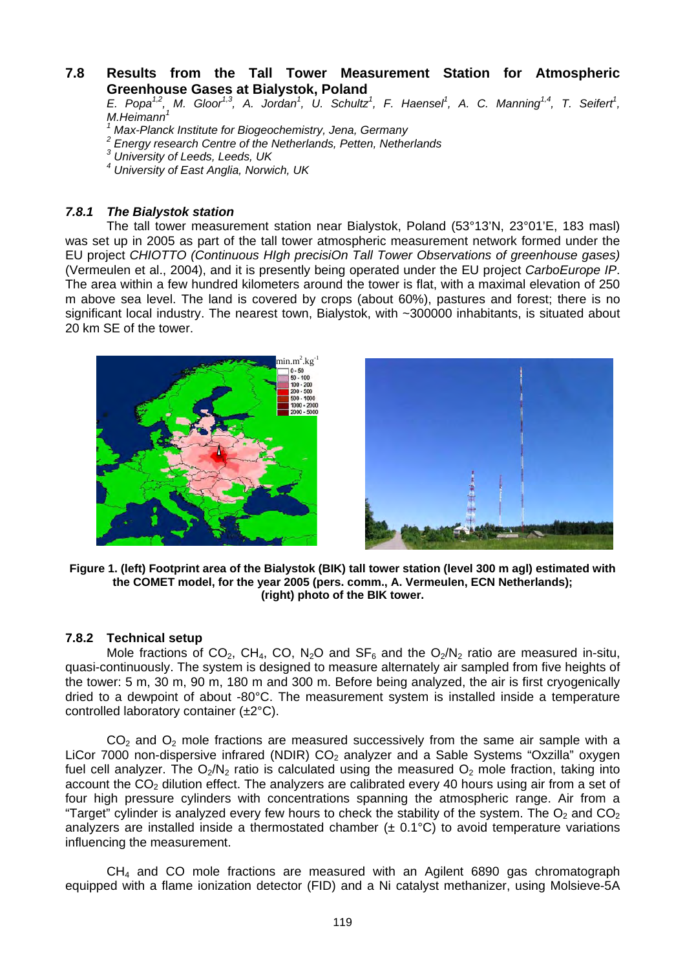# **7.8 Results from the Tall Tower Measurement Station for Atmospheric Greenhouse Gases at Bialystok, Poland**

*E. Popa<sup>1,2</sup>, M. Gloor<sup>1,3</sup>, A. Jordan<sup>1</sup>, U. Schultz<sup>1</sup>, F. Haensel<sup>1</sup>, A. C. Manning<sup>1,4</sup>, T. Seifert<sup>1</sup>, M.Heimann<sup>1</sup>*

*1 Max-Planck Institute for Biogeochemistry, Jena, Germany* 

*2 Energy research Centre of the Netherlands, Petten, Netherlands* 

*3 University of Leeds, Leeds, UK* 

*4 University of East Anglia, Norwich, UK* 

# *7.8.1 The Bialystok station*

The tall tower measurement station near Bialystok, Poland (53°13'N, 23°01'E, 183 masl) was set up in 2005 as part of the tall tower atmospheric measurement network formed under the EU project *CHIOTTO (Continuous HIgh precisiOn Tall Tower Observations of greenhouse gases)*  (Vermeulen et al., 2004), and it is presently being operated under the EU project *CarboEurope IP*. The area within a few hundred kilometers around the tower is flat, with a maximal elevation of 250 m above sea level. The land is covered by crops (about 60%), pastures and forest; there is no significant local industry. The nearest town, Bialystok, with ~300000 inhabitants, is situated about 20 km SE of the tower.





**Figure 1. (left) Footprint area of the Bialystok (BIK) tall tower station (level 300 m agl) estimated with the COMET model, for the year 2005 (pers. comm., A. Vermeulen, ECN Netherlands); (right) photo of the BIK tower.** 

#### **7.8.2 Technical setup**

Mole fractions of CO<sub>2</sub>, CH<sub>4</sub>, CO, N<sub>2</sub>O and SF<sub>6</sub> and the O<sub>2</sub>/N<sub>2</sub> ratio are measured in-situ, quasi-continuously. The system is designed to measure alternately air sampled from five heights of the tower: 5 m, 30 m, 90 m, 180 m and 300 m. Before being analyzed, the air is first cryogenically dried to a dewpoint of about -80°C. The measurement system is installed inside a temperature controlled laboratory container (±2°C).

 $CO<sub>2</sub>$  and  $O<sub>2</sub>$  mole fractions are measured successively from the same air sample with a LiCor 7000 non-dispersive infrared (NDIR)  $CO<sub>2</sub>$  analyzer and a Sable Systems "Oxzilla" oxygen fuel cell analyzer. The  $O_2/N_2$  ratio is calculated using the measured  $O_2$  mole fraction, taking into account the  $CO<sub>2</sub>$  dilution effect. The analyzers are calibrated every 40 hours using air from a set of four high pressure cylinders with concentrations spanning the atmospheric range. Air from a "Target" cylinder is analyzed every few hours to check the stability of the system. The  $O<sub>2</sub>$  and  $CO<sub>2</sub>$ analyzers are installed inside a thermostated chamber  $(± 0.1°C)$  to avoid temperature variations influencing the measurement.

 $CH<sub>4</sub>$  and CO mole fractions are measured with an Agilent 6890 gas chromatograph equipped with a flame ionization detector (FID) and a Ni catalyst methanizer, using Molsieve-5A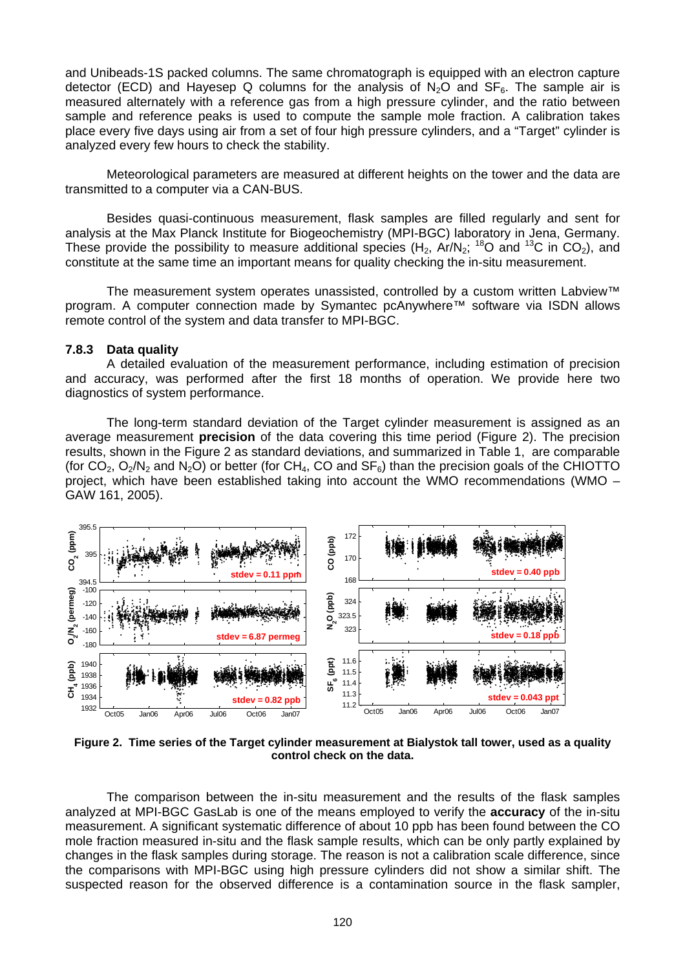and Unibeads-1S packed columns. The same chromatograph is equipped with an electron capture detector (ECD) and Hayesep Q columns for the analysis of  $N_2O$  and  $SF_6$ . The sample air is measured alternately with a reference gas from a high pressure cylinder, and the ratio between sample and reference peaks is used to compute the sample mole fraction. A calibration takes place every five days using air from a set of four high pressure cylinders, and a "Target" cylinder is analyzed every few hours to check the stability.

Meteorological parameters are measured at different heights on the tower and the data are transmitted to a computer via a CAN-BUS.

Besides quasi-continuous measurement, flask samples are filled regularly and sent for analysis at the Max Planck Institute for Biogeochemistry (MPI-BGC) laboratory in Jena, Germany. These provide the possibility to measure additional species (H<sub>2</sub>, Ar/N<sub>2</sub>; <sup>18</sup>O and <sup>13</sup>C in CO<sub>2</sub>), and constitute at the same time an important means for quality checking the in-situ measurement.

The measurement system operates unassisted, controlled by a custom written Labview™ program. A computer connection made by Symantec pcAnywhere™ software via ISDN allows remote control of the system and data transfer to MPI-BGC.

# **7.8.3 Data quality**

A detailed evaluation of the measurement performance, including estimation of precision and accuracy, was performed after the first 18 months of operation. We provide here two diagnostics of system performance.

The long-term standard deviation of the Target cylinder measurement is assigned as an average measurement **precision** of the data covering this time period (Figure 2). The precision results, shown in the Figure 2 as standard deviations, and summarized in Table 1, are comparable (for  $CO_2$ ,  $O_2/N_2$  and  $N_2O$ ) or better (for CH<sub>4</sub>, CO and SF<sub>6</sub>) than the precision goals of the CHIOTTO project, which have been established taking into account the WMO recommendations (WMO – GAW 161, 2005).



**Figure 2. Time series of the Target cylinder measurement at Bialystok tall tower, used as a quality control check on the data.** 

The comparison between the in-situ measurement and the results of the flask samples analyzed at MPI-BGC GasLab is one of the means employed to verify the **accuracy** of the in-situ measurement. A significant systematic difference of about 10 ppb has been found between the CO mole fraction measured in-situ and the flask sample results, which can be only partly explained by changes in the flask samples during storage. The reason is not a calibration scale difference, since the comparisons with MPI-BGC using high pressure cylinders did not show a similar shift. The suspected reason for the observed difference is a contamination source in the flask sampler,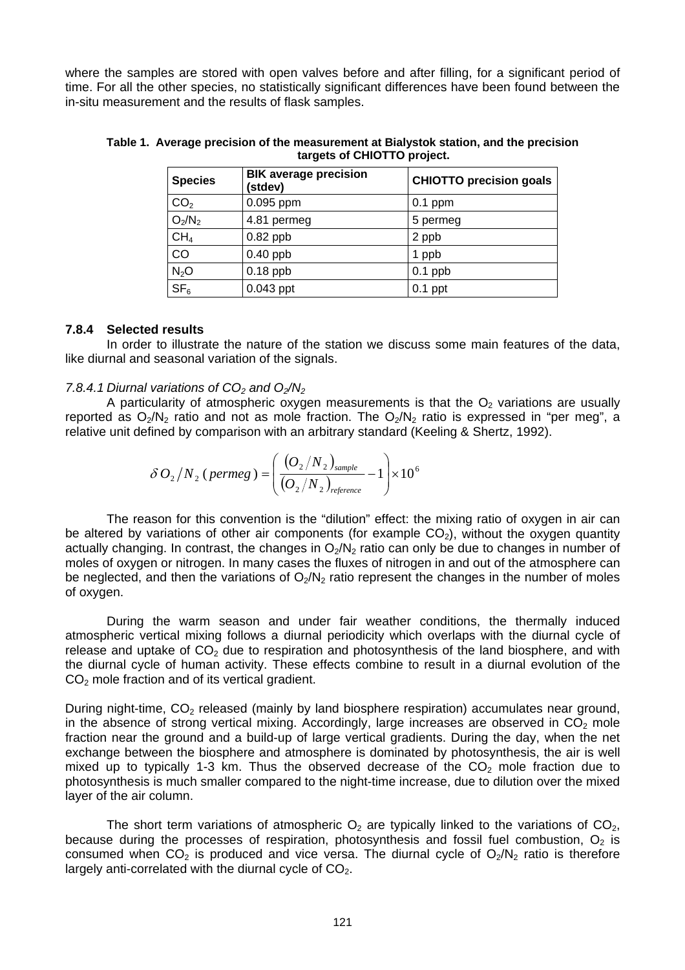where the samples are stored with open valves before and after filling, for a significant period of time. For all the other species, no statistically significant differences have been found between the in-situ measurement and the results of flask samples.

| <b>Species</b>  | <b>BIK average precision</b><br>(stdev) | <b>CHIOTTO precision goals</b> |
|-----------------|-----------------------------------------|--------------------------------|
| CO <sub>2</sub> | 0.095 ppm                               | $0.1$ ppm                      |
| $O_2/N_2$       | 4.81 permeg                             | 5 permeg                       |
| CH <sub>4</sub> | $0.82$ ppb                              | 2 ppb                          |
| CO              | $0.40$ ppb                              | 1 ppb                          |
| $N_2O$          | $0.18$ ppb                              | $0.1$ ppb                      |
| SF <sub>6</sub> | $0.043$ ppt                             | $0.1$ ppt                      |

**Table 1. Average precision of the measurement at Bialystok station, and the precision targets of CHIOTTO project.** 

## **7.8.4 Selected results**

In order to illustrate the nature of the station we discuss some main features of the data, like diurnal and seasonal variation of the signals.

#### 7.8.4.1 Diurnal variations of CO<sub>2</sub> and O<sub>2</sub>/N<sub>2</sub>

A particularity of atmospheric oxygen measurements is that the  $O<sub>2</sub>$  variations are usually reported as  $O_2/N_2$  ratio and not as mole fraction. The  $O_2/N_2$  ratio is expressed in "per meg", a relative unit defined by comparison with an arbitrary standard (Keeling & Shertz, 1992).

$$
\delta O_2/N_2 \ (permeg) = \left(\frac{(O_2/N_2)_{\text{sample}}}{(O_2/N_2)_{\text{reference}}} - 1\right) \times 10^6
$$

The reason for this convention is the "dilution" effect: the mixing ratio of oxygen in air can be altered by variations of other air components (for example  $CO<sub>2</sub>$ ), without the oxygen quantity actually changing. In contrast, the changes in  $O_2/N_2$  ratio can only be due to changes in number of moles of oxygen or nitrogen. In many cases the fluxes of nitrogen in and out of the atmosphere can be neglected, and then the variations of  $O_2/N_2$  ratio represent the changes in the number of moles of oxygen.

During the warm season and under fair weather conditions, the thermally induced atmospheric vertical mixing follows a diurnal periodicity which overlaps with the diurnal cycle of release and uptake of  $CO<sub>2</sub>$  due to respiration and photosynthesis of the land biosphere, and with the diurnal cycle of human activity. These effects combine to result in a diurnal evolution of the CO<sub>2</sub> mole fraction and of its vertical gradient.

During night-time, CO<sub>2</sub> released (mainly by land biosphere respiration) accumulates near ground, in the absence of strong vertical mixing. Accordingly, large increases are observed in  $CO<sub>2</sub>$  mole fraction near the ground and a build-up of large vertical gradients. During the day, when the net exchange between the biosphere and atmosphere is dominated by photosynthesis, the air is well mixed up to typically 1-3 km. Thus the observed decrease of the  $CO<sub>2</sub>$  mole fraction due to photosynthesis is much smaller compared to the night-time increase, due to dilution over the mixed layer of the air column.

The short term variations of atmospheric  $O<sub>2</sub>$  are typically linked to the variations of  $CO<sub>2</sub>$ , because during the processes of respiration, photosynthesis and fossil fuel combustion,  $O<sub>2</sub>$  is consumed when  $CO<sub>2</sub>$  is produced and vice versa. The diurnal cycle of  $O<sub>2</sub>/N<sub>2</sub>$  ratio is therefore largely anti-correlated with the diurnal cycle of  $CO<sub>2</sub>$ .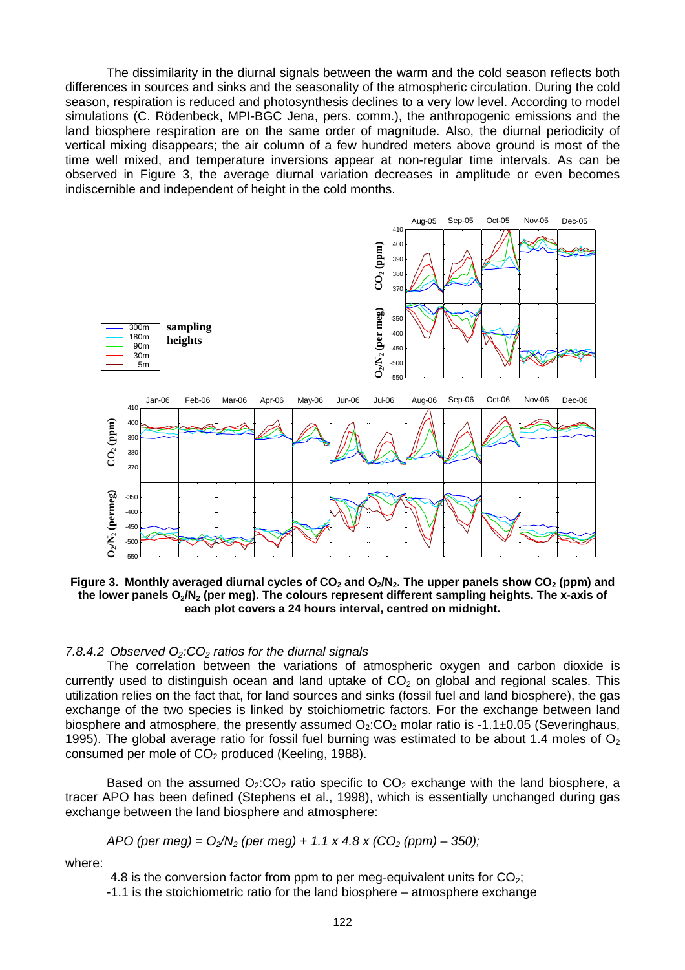The dissimilarity in the diurnal signals between the warm and the cold season reflects both differences in sources and sinks and the seasonality of the atmospheric circulation. During the cold season, respiration is reduced and photosynthesis declines to a very low level. According to model simulations (C. Rödenbeck, MPI-BGC Jena, pers. comm.), the anthropogenic emissions and the land biosphere respiration are on the same order of magnitude. Also, the diurnal periodicity of vertical mixing disappears; the air column of a few hundred meters above ground is most of the time well mixed, and temperature inversions appear at non-regular time intervals. As can be observed in Figure 3, the average diurnal variation decreases in amplitude or even becomes indiscernible and independent of height in the cold months.



Figure 3. Monthly averaged diurnal cycles of CO<sub>2</sub> and O<sub>2</sub>/N<sub>2</sub>. The upper panels show CO<sub>2</sub> (ppm) and the lower panels O<sub>2</sub>/N<sub>2</sub> (per meg). The colours represent different sampling heights. The x-axis of **each plot covers a 24 hours interval, centred on midnight.** 

#### 7.8.4.2 Observed O<sub>2</sub>:CO<sub>2</sub> ratios for the diurnal signals

The correlation between the variations of atmospheric oxygen and carbon dioxide is currently used to distinguish ocean and land uptake of  $CO<sub>2</sub>$  on global and regional scales. This utilization relies on the fact that, for land sources and sinks (fossil fuel and land biosphere), the gas exchange of the two species is linked by stoichiometric factors. For the exchange between land biosphere and atmosphere, the presently assumed  $O_2$ : $CO_2$  molar ratio is -1.1 $\pm$ 0.05 (Severinghaus, 1995). The global average ratio for fossil fuel burning was estimated to be about 1.4 moles of  $O<sub>2</sub>$ consumed per mole of  $CO<sub>2</sub>$  produced (Keeling, 1988).

Based on the assumed  $O_2:CO_2$  ratio specific to  $CO_2$  exchange with the land biosphere, a tracer APO has been defined (Stephens et al., 1998), which is essentially unchanged during gas exchange between the land biosphere and atmosphere:

$$
APO (per meg) = O2/N2 (per meg) + 1.1 x 4.8 x (CO2 (ppm) - 350);
$$

where:

4.8 is the conversion factor from ppm to per meg-equivalent units for  $CO<sub>2</sub>$ ;

-1.1 is the stoichiometric ratio for the land biosphere – atmosphere exchange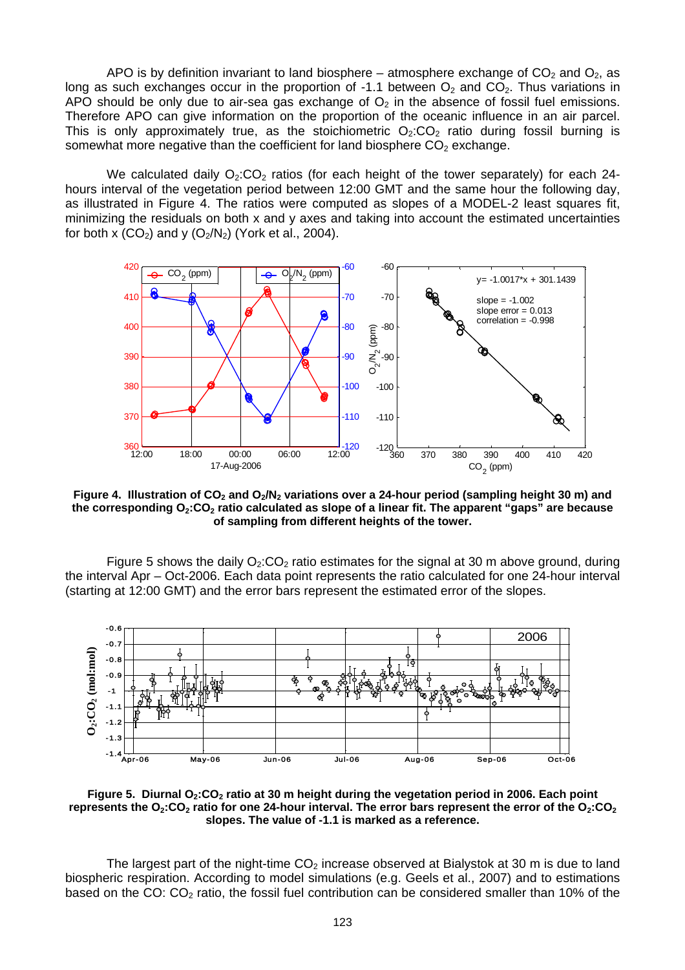APO is by definition invariant to land biosphere – atmosphere exchange of  $CO<sub>2</sub>$  and  $O<sub>2</sub>$ , as long as such exchanges occur in the proportion of -1.1 between  $O_2$  and  $CO_2$ . Thus variations in APO should be only due to air-sea gas exchange of  $O<sub>2</sub>$  in the absence of fossil fuel emissions. Therefore APO can give information on the proportion of the oceanic influence in an air parcel. This is only approximately true, as the stoichiometric  $O_2$ : $CO_2$  ratio during fossil burning is somewhat more negative than the coefficient for land biosphere  $CO<sub>2</sub>$  exchange.

We calculated daily  $O_2$ :CO<sub>2</sub> ratios (for each height of the tower separately) for each 24hours interval of the vegetation period between 12:00 GMT and the same hour the following day, as illustrated in Figure 4. The ratios were computed as slopes of a MODEL-2 least squares fit, minimizing the residuals on both x and y axes and taking into account the estimated uncertainties for both x  $(CO_2)$  and y  $(O_2/N_2)$  (York et al., 2004).



Figure 4. Illustration of CO<sub>2</sub> and O<sub>2</sub>/N<sub>2</sub> variations over a 24-hour period (sampling height 30 m) and the corresponding O<sub>2</sub>:CO<sub>2</sub> ratio calculated as slope of a linear fit. The apparent "gaps" are because **of sampling from different heights of the tower.** 

Figure 5 shows the daily  $O<sub>2</sub>:CO<sub>2</sub>$  ratio estimates for the signal at 30 m above ground, during the interval Apr – Oct-2006. Each data point represents the ratio calculated for one 24-hour interval (starting at 12:00 GMT) and the error bars represent the estimated error of the slopes.



Figure 5. Diurnal O<sub>2</sub>: CO<sub>2</sub> ratio at 30 m height during the vegetation period in 2006. Each point represents the  $O_2$ : $CO_2$  ratio for one 24-hour interval. The error bars represent the error of the  $O_2$ : $CO_2$ **slopes. The value of -1.1 is marked as a reference.** 

The largest part of the night-time  $CO<sub>2</sub>$  increase observed at Bialystok at 30 m is due to land biospheric respiration. According to model simulations (e.g. Geels et al., 2007) and to estimations based on the CO:  $CO<sub>2</sub>$  ratio, the fossil fuel contribution can be considered smaller than 10% of the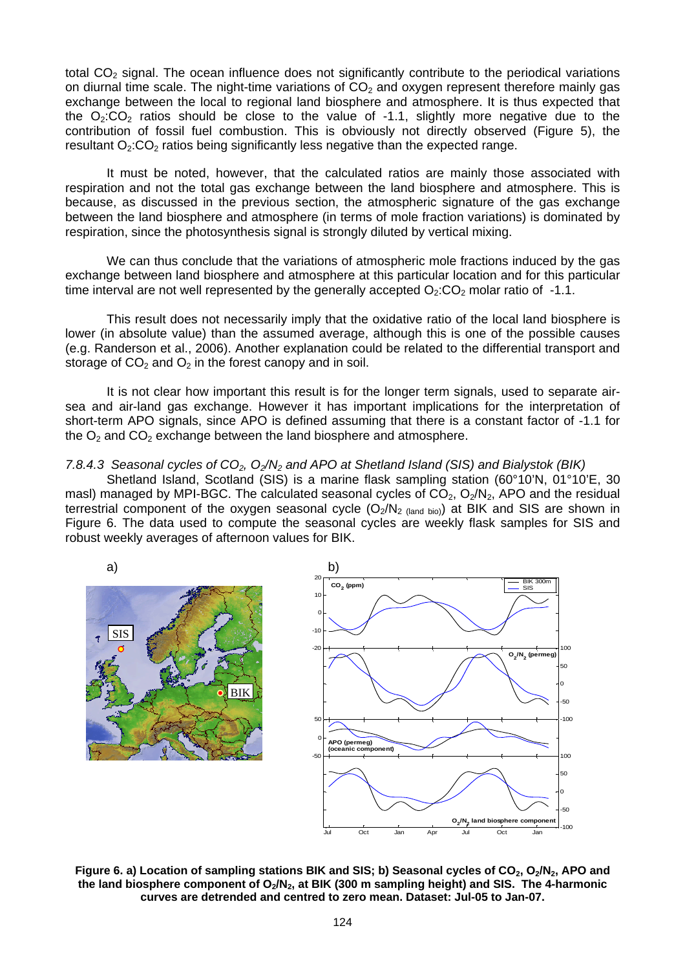total  $CO<sub>2</sub>$  signal. The ocean influence does not significantly contribute to the periodical variations on diurnal time scale. The night-time variations of  $CO<sub>2</sub>$  and oxygen represent therefore mainly gas exchange between the local to regional land biosphere and atmosphere. It is thus expected that the  $O_2$ : $CO_2$  ratios should be close to the value of -1.1, slightly more negative due to the contribution of fossil fuel combustion. This is obviously not directly observed (Figure 5), the resultant  $O_2$ : $CO_2$  ratios being significantly less negative than the expected range.

It must be noted, however, that the calculated ratios are mainly those associated with respiration and not the total gas exchange between the land biosphere and atmosphere. This is because, as discussed in the previous section, the atmospheric signature of the gas exchange between the land biosphere and atmosphere (in terms of mole fraction variations) is dominated by respiration, since the photosynthesis signal is strongly diluted by vertical mixing.

We can thus conclude that the variations of atmospheric mole fractions induced by the gas exchange between land biosphere and atmosphere at this particular location and for this particular time interval are not well represented by the generally accepted  $O_2$ :  $CO_2$  molar ratio of -1.1.

This result does not necessarily imply that the oxidative ratio of the local land biosphere is lower (in absolute value) than the assumed average, although this is one of the possible causes (e.g. Randerson et al., 2006). Another explanation could be related to the differential transport and storage of  $CO<sub>2</sub>$  and  $O<sub>2</sub>$  in the forest canopy and in soil.

It is not clear how important this result is for the longer term signals, used to separate airsea and air-land gas exchange. However it has important implications for the interpretation of short-term APO signals, since APO is defined assuming that there is a constant factor of -1.1 for the  $O_2$  and  $CO_2$  exchange between the land biosphere and atmosphere.

*7.8.4.3 Seasonal cycles of CO2, O2/N2 and APO at Shetland Island (SIS) and Bialystok (BIK)* 

Shetland Island, Scotland (SIS) is a marine flask sampling station (60°10'N, 01°10'E, 30 masl) managed by MPI-BGC. The calculated seasonal cycles of  $CO<sub>2</sub>, O<sub>2</sub>/N<sub>2</sub>$ , APO and the residual terrestrial component of the oxygen seasonal cycle  $(O_2/N_{2 \text{ (land bio)}})$  at BIK and SIS are shown in Figure 6. The data used to compute the seasonal cycles are weekly flask samples for SIS and robust weekly averages of afternoon values for BIK.



Figure 6. a) Location of sampling stations BIK and SIS; b) Seasonal cycles of CO<sub>2</sub>, O<sub>2</sub>/N<sub>2</sub>, APO and the land biosphere component of O<sub>2</sub>/N<sub>2</sub>, at BIK (300 m sampling height) and SIS. The 4-harmonic **curves are detrended and centred to zero mean. Dataset: Jul-05 to Jan-07.**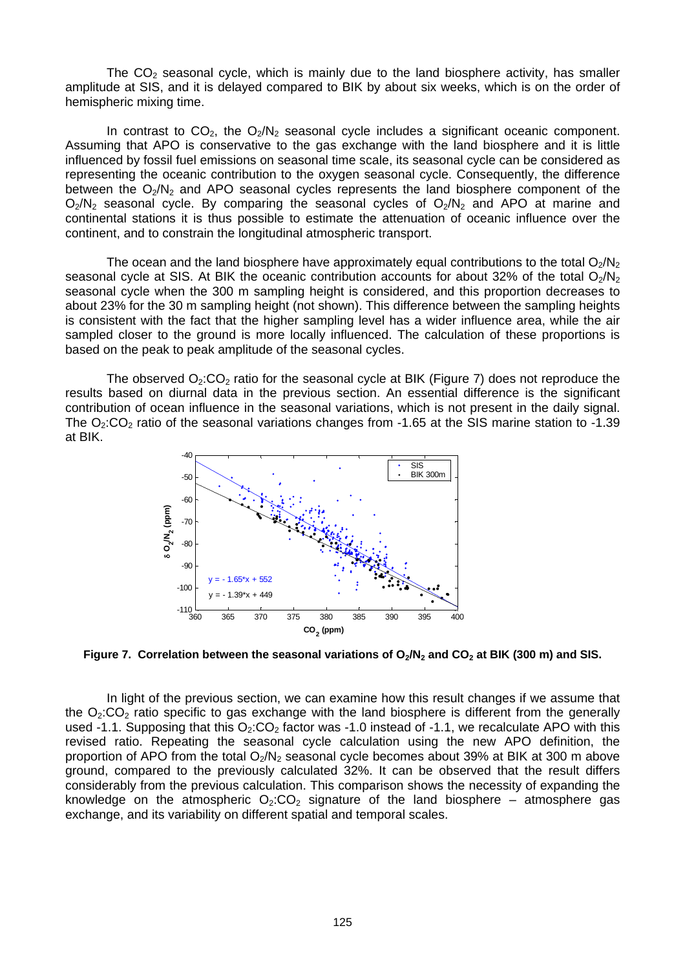The  $CO<sub>2</sub>$  seasonal cycle, which is mainly due to the land biosphere activity, has smaller amplitude at SIS, and it is delayed compared to BIK by about six weeks, which is on the order of hemispheric mixing time.

In contrast to  $CO<sub>2</sub>$ , the  $O<sub>2</sub>/N<sub>2</sub>$  seasonal cycle includes a significant oceanic component. Assuming that APO is conservative to the gas exchange with the land biosphere and it is little influenced by fossil fuel emissions on seasonal time scale, its seasonal cycle can be considered as representing the oceanic contribution to the oxygen seasonal cycle. Consequently, the difference between the  $O_2/N_2$  and APO seasonal cycles represents the land biosphere component of the  $O_2/N_2$  seasonal cycle. By comparing the seasonal cycles of  $O_2/N_2$  and APO at marine and continental stations it is thus possible to estimate the attenuation of oceanic influence over the continent, and to constrain the longitudinal atmospheric transport.

The ocean and the land biosphere have approximately equal contributions to the total  $O<sub>2</sub>/N<sub>2</sub>$ seasonal cycle at SIS. At BIK the oceanic contribution accounts for about 32% of the total  $O<sub>2</sub>/N<sub>2</sub>$ seasonal cycle when the 300 m sampling height is considered, and this proportion decreases to about 23% for the 30 m sampling height (not shown). This difference between the sampling heights is consistent with the fact that the higher sampling level has a wider influence area, while the air sampled closer to the ground is more locally influenced. The calculation of these proportions is based on the peak to peak amplitude of the seasonal cycles.

The observed  $Q_2$ :CO<sub>2</sub> ratio for the seasonal cycle at BIK (Figure 7) does not reproduce the results based on diurnal data in the previous section. An essential difference is the significant contribution of ocean influence in the seasonal variations, which is not present in the daily signal. The  $O<sub>2</sub>:CO<sub>2</sub>$  ratio of the seasonal variations changes from -1.65 at the SIS marine station to -1.39 at BIK.



Figure 7. Correlation between the seasonal variations of O<sub>2</sub>/N<sub>2</sub> and CO<sub>2</sub> at BIK (300 m) and SIS.

In light of the previous section, we can examine how this result changes if we assume that the  $O_2$ : $CO_2$  ratio specific to gas exchange with the land biosphere is different from the generally used -1.1. Supposing that this  $O<sub>2</sub>:CO<sub>2</sub>$  factor was -1.0 instead of -1.1, we recalculate APO with this revised ratio. Repeating the seasonal cycle calculation using the new APO definition, the proportion of APO from the total  $O_2/N_2$  seasonal cycle becomes about 39% at BIK at 300 m above ground, compared to the previously calculated 32%. It can be observed that the result differs considerably from the previous calculation. This comparison shows the necessity of expanding the knowledge on the atmospheric  $O_2$ : $CO_2$  signature of the land biosphere – atmosphere gas exchange, and its variability on different spatial and temporal scales.